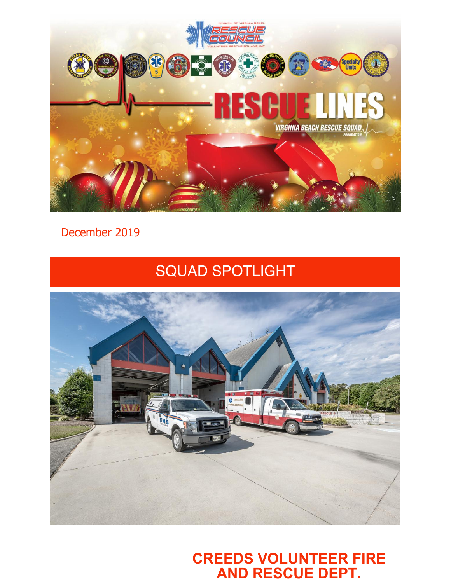

### December 2019

# SQUAD SPOTLIGHT



**CREEDS VOLUNTEER FIRE AND RESCUE DEPT.**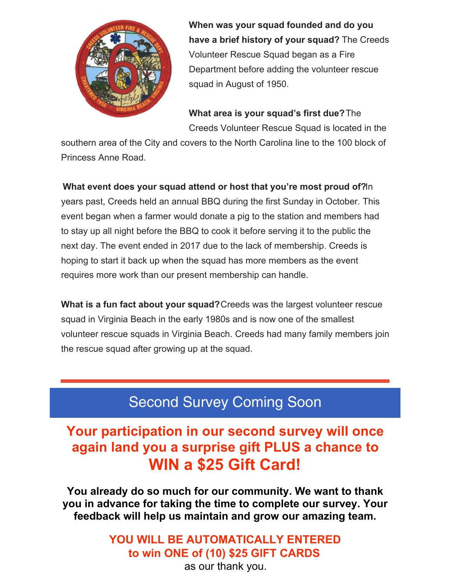

**When was your squad founded and do you have a brief history of your squad?** The Creeds Volunteer Rescue Squad began as a Fire Department before adding the volunteer rescue squad in August of 1950.

**What area is your squad's first due?**The Creeds Volunteer Rescue Squad is located in the

southern area of the City and covers to the North Carolina line to the 100 block of Princess Anne Road.

**What event does your squad attend or host that you're most proud of?**In years past, Creeds held an annual BBQ during the first Sunday in October. This event began when a farmer would donate a pig to the station and members had to stay up all night before the BBQ to cook it before serving it to the public the next day. The event ended in 2017 due to the lack of membership. Creeds is hoping to start it back up when the squad has more members as the event requires more work than our present membership can handle.

**What is a fun fact about your squad?**Creeds was the largest volunteer rescue squad in Virginia Beach in the early 1980s and is now one of the smallest volunteer rescue squads in Virginia Beach. Creeds had many family members join the rescue squad after growing up at the squad.

# Second Survey Coming Soon

## **Your participation in our second survey will once again land you a surprise gift PLUS a chance to WIN a \$25 Gift Card!**

**You already do so much for our community. We want to thank you in advance for taking the time to complete our survey. Your feedback will help us maintain and grow our amazing team.**

### **YOU WILL BE AUTOMATICALLY ENTERED to win ONE of (10) \$25 GIFT CARDS**

as our thank you.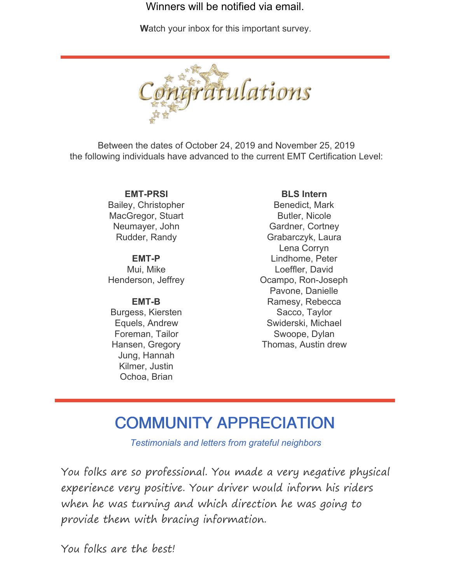Winners will be notified via email.

**[W](http://survey.constantcontact.com/survey/a07egmfgfzik0yb7d5m/start?TEST_ONLY_RESPONSES_NOT_SAVED=t)**atch your inbox for this important survey.



Between the dates of October 24, 2019 and November 25, 2019 the following individuals have advanced to the current EMT Certification Level:

> **EMT-PRSI** Bailey, Christopher MacGregor, Stuart Neumayer, John Rudder, Randy

> **EMT-P** Mui, Mike Henderson, Jeffrey

#### **EMT-B**

Burgess, Kiersten Equels, Andrew Foreman, Tailor Hansen, Gregory Jung, Hannah Kilmer, Justin Ochoa, Brian

#### **BLS Intern**

Benedict, Mark Butler, Nicole Gardner, Cortney Grabarczyk, Laura Lena Corryn Lindhome, Peter Loeffler, David Ocampo, Ron-Joseph Pavone, Danielle Ramesy, Rebecca Sacco, Taylor Swiderski, Michael Swoope, Dylan Thomas, Austin drew

# COMMUNITY APPRECIATION

*Testimonials and letters from grateful neighbors*

You folks are so professional. You made a very negative physical experience very positive. Your driver would inform his riders when he was turning and which direction he was going to provide them with bracing information.

You folks are the best!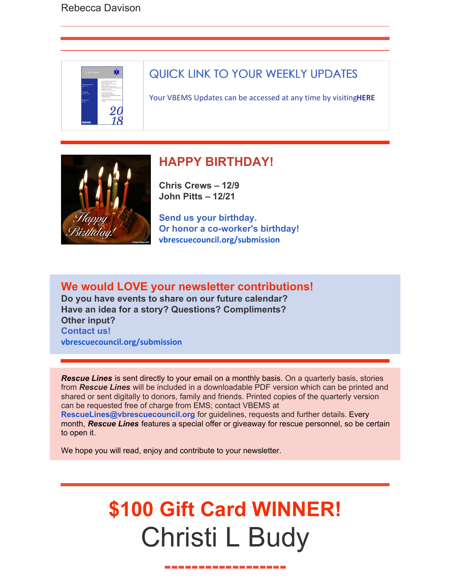

### QUICK LINK TO YOUR WEEKLY UPDATES

Your VBEMS Updates can be accessed at any time by visiting**[HERE](https://www.vbems.com/providers/newsletter/)**



### **HAPPY BIRTHDAY!**

**Chris Crews – 12/9 John Pitts – 12/21**

**Send us your birthday. Or honor a co-worker's birthday! [vbrescuecouncil.org/submission](http://www.vbrescuecouncil.org/submission)**

**We would LOVE your newsletter contributions! Do you have events to share on our future calendar? Have an idea for a story? Questions? Compliments? Other input? Contact us! [vbrescuecouncil.org/submission](http://www.vbrescuecouncil.org/submission)**

*Rescue Lines* is sent directly to your email on a monthly basis. On a quarterly basis, stories from *Rescue Lines* will be included in a downloadable PDF version which can be printed and shared or sent digitally to donors, family and friends. Printed copies of the quarterly version can be requested free of charge from EMS; contact VBEMS at **[RescueLines@vbrescuecouncil.org](mailto:RescueLines@vbrescuecouncil.org)** for guidelines, requests and further details. Every month, *Rescue Lines* features a special offer or giveaway for rescue personnel, so be certain to open it.

We hope you will read, enjoy and contribute to your newsletter.

# **\$100 Gift Card WINNER!** Christi L Budy